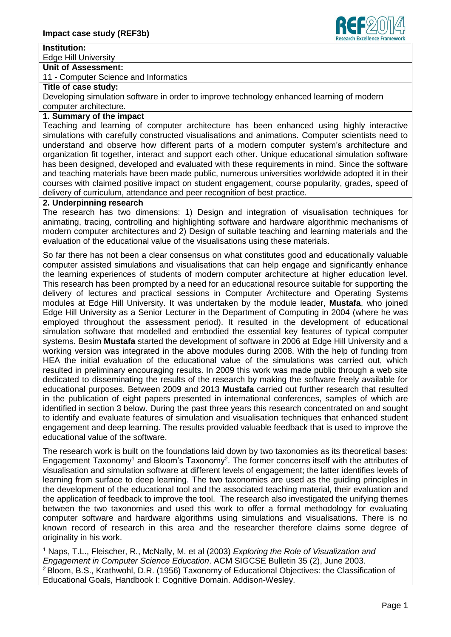

#### **Institution:**

Edge Hill University

#### **Unit of Assessment:**

11 - Computer Science and Informatics

## **Title of case study:**

Developing simulation software in order to improve technology enhanced learning of modern computer architecture.

# **1. Summary of the impact**

Teaching and learning of computer architecture has been enhanced using highly interactive simulations with carefully constructed visualisations and animations. Computer scientists need to understand and observe how different parts of a modern computer system's architecture and organization fit together, interact and support each other. Unique educational simulation software has been designed, developed and evaluated with these requirements in mind. Since the software and teaching materials have been made public, numerous universities worldwide adopted it in their courses with claimed positive impact on student engagement, course popularity, grades, speed of delivery of curriculum, attendance and peer recognition of best practice.

## **2. Underpinning research**

The research has two dimensions: 1) Design and integration of visualisation techniques for animating, tracing, controlling and highlighting software and hardware algorithmic mechanisms of modern computer architectures and 2) Design of suitable teaching and learning materials and the evaluation of the educational value of the visualisations using these materials.

So far there has not been a clear consensus on what constitutes good and educationally valuable computer assisted simulations and visualisations that can help engage and significantly enhance the learning experiences of students of modern computer architecture at higher education level. This research has been prompted by a need for an educational resource suitable for supporting the delivery of lectures and practical sessions in Computer Architecture and Operating Systems modules at Edge Hill University. It was undertaken by the module leader, **Mustafa**, who joined Edge Hill University as a Senior Lecturer in the Department of Computing in 2004 (where he was employed throughout the assessment period). It resulted in the development of educational simulation software that modelled and embodied the essential key features of typical computer systems. Besim **Mustafa** started the development of software in 2006 at Edge Hill University and a working version was integrated in the above modules during 2008. With the help of funding from HEA the initial evaluation of the educational value of the simulations was carried out, which resulted in preliminary encouraging results. In 2009 this work was made public through a web site dedicated to disseminating the results of the research by making the software freely available for educational purposes. Between 2009 and 2013 **Mustafa** carried out further research that resulted in the publication of eight papers presented in international conferences, samples of which are identified in section 3 below. During the past three years this research concentrated on and sought to identify and evaluate features of simulation and visualisation techniques that enhanced student engagement and deep learning. The results provided valuable feedback that is used to improve the educational value of the software.

The research work is built on the foundations laid down by two taxonomies as its theoretical bases: Engagement Taxonomy<sup>1</sup> and Bloom's Taxonomy<sup>2</sup>. The former concerns itself with the attributes of visualisation and simulation software at different levels of engagement; the latter identifies levels of learning from surface to deep learning. The two taxonomies are used as the guiding principles in the development of the educational tool and the associated teaching material, their evaluation and the application of feedback to improve the tool. The research also investigated the unifying themes between the two taxonomies and used this work to offer a formal methodology for evaluating computer software and hardware algorithms using simulations and visualisations. There is no known record of research in this area and the researcher therefore claims some degree of originality in his work.

<sup>1</sup> Naps, T.L., Fleischer, R., McNally, M. et al (2003) *Exploring the Role of Visualization and Engagement in Computer Science Education*. ACM SIGCSE Bulletin 35 (2), June 2003. <sup>2</sup> Bloom, B.S., Krathwohl, D.R. (1956) Taxonomy of Educational Objectives: the Classification of Educational Goals, Handbook I: Cognitive Domain. Addison-Wesley.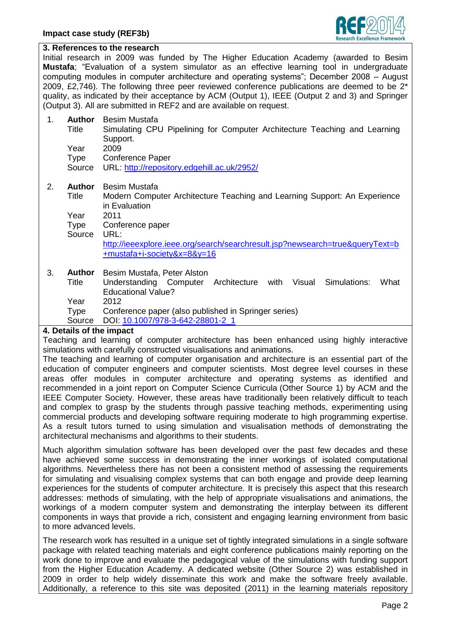

#### **3. References to the research**

Initial research in 2009 was funded by The Higher Education Academy (awarded to Besim **Mustafa**; "Evaluation of a system simulator as an effective learning tool in undergraduate computing modules in computer architecture and operating systems"; December 2008 – August 2009, £2,746). The following three peer reviewed conference publications are deemed to be  $2^*$ quality, as indicated by their acceptance by ACM (Output 1), IEEE (Output 2 and 3) and Springer (Output 3). All are submitted in REF2 and are available on request.

- 1. **Author** Besim Mustafa
	- Title Simulating CPU Pipelining for Computer Architecture Teaching and Learning Support.

Year 2009

Type Conference Paper

Source URL:<http://repository.edgehill.ac.uk/2952/>

- 2. **Author** Besim Mustafa
	- Title Modern Computer Architecture Teaching and Learning Support: An Experience in Evaluation

Year 2011

Type Conference paper

Source URL:

[http://ieeexplore.ieee.org/search/searchresult.jsp?newsearch=true&queryText=b](http://ieeexplore.ieee.org/search/searchresult.jsp?newsearch=true&queryText=b+mustafa+i-society&x=8&y=16) [+mustafa+i-society&x=8&y=16](http://ieeexplore.ieee.org/search/searchresult.jsp?newsearch=true&queryText=b+mustafa+i-society&x=8&y=16)

## 3. **Author** Besim Mustafa, Peter Alston

Title Understanding Computer Architecture with Visual Simulations: What Educational Value?

Year 2012

Type Conference paper (also published in Springer series)

Source DOI: [10.1007/978-3-642-28801-2\\_1](http://dx.doi.org/10.1007/978-3-642-28801-2_1)

# **4. Details of the impact**

Teaching and learning of computer architecture has been enhanced using highly interactive simulations with carefully constructed visualisations and animations.

The teaching and learning of computer organisation and architecture is an essential part of the education of computer engineers and computer scientists. Most degree level courses in these areas offer modules in computer architecture and operating systems as identified and recommended in a joint report on Computer Science Curricula (Other Source 1) by ACM and the IEEE Computer Society. However, these areas have traditionally been relatively difficult to teach and complex to grasp by the students through passive teaching methods, experimenting using commercial products and developing software requiring moderate to high programming expertise. As a result tutors turned to using simulation and visualisation methods of demonstrating the architectural mechanisms and algorithms to their students.

Much algorithm simulation software has been developed over the past few decades and these have achieved some success in demonstrating the inner workings of isolated computational algorithms. Nevertheless there has not been a consistent method of assessing the requirements for simulating and visualising complex systems that can both engage and provide deep learning experiences for the students of computer architecture. It is precisely this aspect that this research addresses: methods of simulating, with the help of appropriate visualisations and animations, the workings of a modern computer system and demonstrating the interplay between its different components in ways that provide a rich, consistent and engaging learning environment from basic to more advanced levels.

The research work has resulted in a unique set of tightly integrated simulations in a single software package with related teaching materials and eight conference publications mainly reporting on the work done to improve and evaluate the pedagogical value of the simulations with funding support from the Higher Education Academy. A dedicated website (Other Source 2) was established in 2009 in order to help widely disseminate this work and make the software freely available. Additionally, a reference to this site was deposited (2011) in the learning materials repository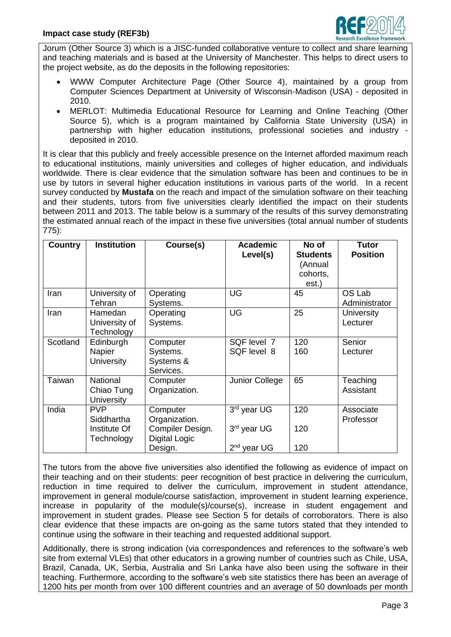

Jorum (Other Source 3) which is a JISC-funded collaborative venture to collect and share learning and teaching materials and is based at the University of Manchester. This helps to direct users to the project website, as do the deposits in the following repositories:

- WWW Computer Architecture Page (Other Source 4), maintained by a group from Computer Sciences Department at University of Wisconsin-Madison (USA) - deposited in 2010.
- MERLOT: Multimedia Educational Resource for Learning and Online Teaching (Other Source 5), which is a program maintained by California State University (USA) in partnership with higher education institutions, professional societies and industry deposited in 2010.

It is clear that this publicly and freely accessible presence on the Internet afforded maximum reach to educational institutions, mainly universities and colleges of higher education, and individuals worldwide. There is clear evidence that the simulation software has been and continues to be in use by tutors in several higher education institutions in various parts of the world. In a recent survey conducted by **Mustafa** on the reach and impact of the simulation software on their teaching and their students, tutors from five universities clearly identified the impact on their students between 2011 and 2013. The table below is a summary of the results of this survey demonstrating the estimated annual reach of the impact in these five universities (total annual number of students 775):

| Country  | <b>Institution</b>                          | Course(s)                                      | <b>Academic</b><br>Level(s)            | No of<br><b>Students</b><br>(Annual<br>cohorts,<br>est.) | Tutor<br><b>Position</b> |
|----------|---------------------------------------------|------------------------------------------------|----------------------------------------|----------------------------------------------------------|--------------------------|
| Iran     | University of<br>Tehran                     | Operating<br>Systems.                          | UG                                     | 45                                                       | OS Lab<br>Administrator  |
| Iran     | Hamedan<br>University of<br>Technology      | Operating<br>Systems.                          | UG                                     | 25                                                       | University<br>Lecturer   |
| Scotland | Edinburgh<br>Napier<br><b>University</b>    | Computer<br>Systems.<br>Systems &<br>Services. | SQF level 7<br>SQF level 8             | 120<br>160                                               | Senior<br>Lecturer       |
| Taiwan   | National<br>Chiao Tung<br><b>University</b> | Computer<br>Organization.                      | Junior College                         | 65                                                       | Teaching<br>Assistant    |
| India    | <b>PVP</b><br>Siddhartha<br>Institute Of    | Computer<br>Organization.<br>Compiler Design.  | 3rd year UG<br>3 <sup>rd</sup> year UG | 120<br>120                                               | Associate<br>Professor   |
|          | Technology                                  | <b>Digital Logic</b><br>Design.                | $2nd$ year UG                          | 120                                                      |                          |

The tutors from the above five universities also identified the following as evidence of impact on their teaching and on their students: peer recognition of best practice in delivering the curriculum, reduction in time required to deliver the curriculum, improvement in student attendance, improvement in general module/course satisfaction, improvement in student learning experience, increase in popularity of the module(s)/course(s), increase in student engagement and improvement in student grades. Please see Section 5 for details of corroborators. There is also clear evidence that these impacts are on-going as the same tutors stated that they intended to continue using the software in their teaching and requested additional support.

Additionally, there is strong indication (via correspondences and references to the software's web site from external VLEs) that other educators in a growing number of countries such as Chile, USA, Brazil, Canada, UK, Serbia, Australia and Sri Lanka have also been using the software in their teaching. Furthermore, according to the software's web site statistics there has been an average of 1200 hits per month from over 100 different countries and an average of 50 downloads per month